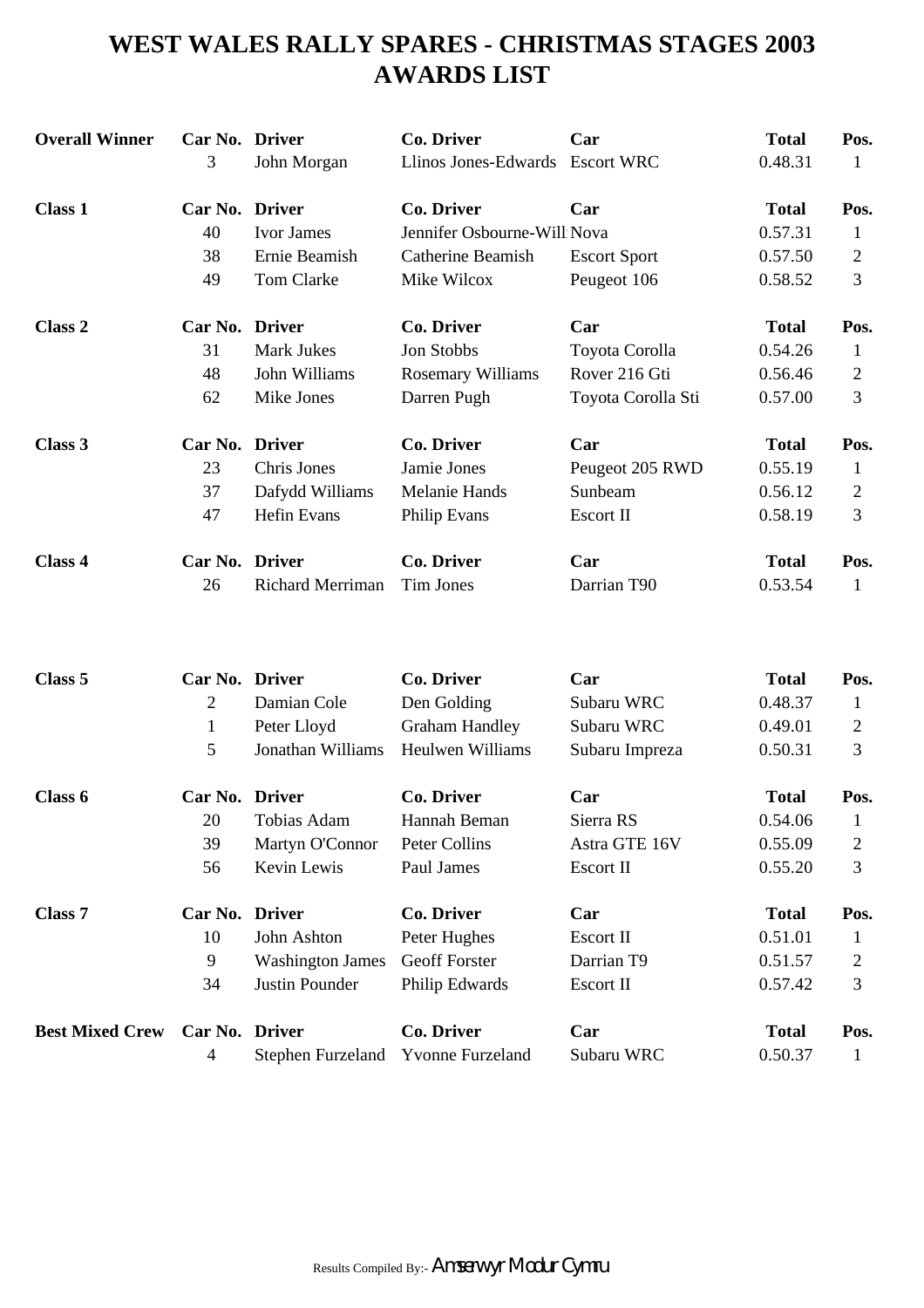# **WEST WALES RALLY SPARES - CHRISTMAS STAGES 2003 AWARDS LIST**

| <b>Overall Winner</b> | Car No. Driver |                    | <b>Co. Driver</b>           | Car                 | <b>Total</b> | Pos.           |
|-----------------------|----------------|--------------------|-----------------------------|---------------------|--------------|----------------|
|                       | 3              | John Morgan        | Llinos Jones-Edwards        | <b>Escort WRC</b>   | 0.48.31      | 1              |
| <b>Class 1</b>        | Car No. Driver |                    | <b>Co. Driver</b>           | Car                 | <b>Total</b> | Pos.           |
|                       | 40             | Ivor James         | Jennifer Osbourne-Will Nova |                     | 0.57.31      | $\mathbf 1$    |
|                       | 38             | Ernie Beamish      | <b>Catherine Beamish</b>    | <b>Escort Sport</b> | 0.57.50      | $\overline{2}$ |
|                       | 49             | Tom Clarke         | Mike Wilcox                 | Peugeot 106         | 0.58.52      | 3              |
| Class 2               | Car No. Driver |                    | <b>Co. Driver</b>           | Car                 | <b>Total</b> | Pos.           |
|                       | 31             | <b>Mark Jukes</b>  | Jon Stobbs                  | Toyota Corolla      | 0.54.26      | 1              |
|                       | 48             | John Williams      | <b>Rosemary Williams</b>    | Rover 216 Gti       | 0.56.46      | $\overline{2}$ |
|                       | 62             | Mike Jones         | Darren Pugh                 | Toyota Corolla Sti  | 0.57.00      | 3              |
| Class 3               | Car No. Driver |                    | <b>Co. Driver</b>           | Car                 | <b>Total</b> | Pos.           |
|                       | 23             | Chris Jones        | Jamie Jones                 | Peugeot 205 RWD     | 0.55.19      | 1              |
|                       | 37             | Dafydd Williams    | Melanie Hands               | Sunbeam             | 0.56.12      | $\mathbf{2}$   |
|                       | 47             | <b>Hefin Evans</b> | Philip Evans                | Escort II           | 0.58.19      | 3              |
| Class 4               | Car No. Driver |                    | <b>Co. Driver</b>           | Car                 | <b>Total</b> | Pos.           |
|                       | 26             | Richard Merriman   | Tim Jones                   | Darrian T90         | 0.53.54      | 1              |
|                       |                |                    |                             |                     |              |                |
| Class 5               | Car No. Driver |                    | <b>Co. Driver</b>           | Car                 | <b>Total</b> | Pos.           |
|                       | $\overline{2}$ | Damian Cole        | Den Golding                 | Subaru WRC          | 0.48.37      | 1              |
|                       | $\mathbf{1}$   | Peter Lloyd        | <b>Graham Handley</b>       | Subaru WRC          | 0.49.01      | $\overline{2}$ |
|                       | 5              | Jonathan Williams  | Heulwen Williams            | Subaru Impreza      | 0.50.31      | 3              |
| Clace 6               | Car No Driver  |                    | Co Driver                   | $\Gamma$ ar         | Total        | Pos            |

| Class 6                | Car No. Driver |                                    | Co. Driver           | Car           | <b>Total</b> | Pos. |
|------------------------|----------------|------------------------------------|----------------------|---------------|--------------|------|
|                        | 20             | Tobias Adam                        | Hannah Beman         | Sierra RS     | 0.54.06      |      |
|                        | 39             | Martyn O'Connor                    | Peter Collins        | Astra GTE 16V | 0.55.09      | 2    |
|                        | 56             | Kevin Lewis                        | Paul James           | Escort II     | 0.55.20      | 3    |
| <b>Class 7</b>         | Car No. Driver |                                    | Co. Driver           | Car           | <b>Total</b> | Pos. |
|                        | 10             | John Ashton                        | Peter Hughes         | Escort II     | 0.51.01      |      |
|                        | 9              | <b>Washington James</b>            | <b>Geoff Forster</b> | Darrian T9    | 0.51.57      | 2    |
|                        | 34             | Justin Pounder                     | Philip Edwards       | Escort II     | 0.57.42      | 3    |
| <b>Best Mixed Crew</b> | Car No. Driver |                                    | Co. Driver           | Car           | <b>Total</b> | Pos. |
|                        | 4              | Stephen Furzeland Yvonne Furzeland |                      | Subaru WRC    | 0.50.37      |      |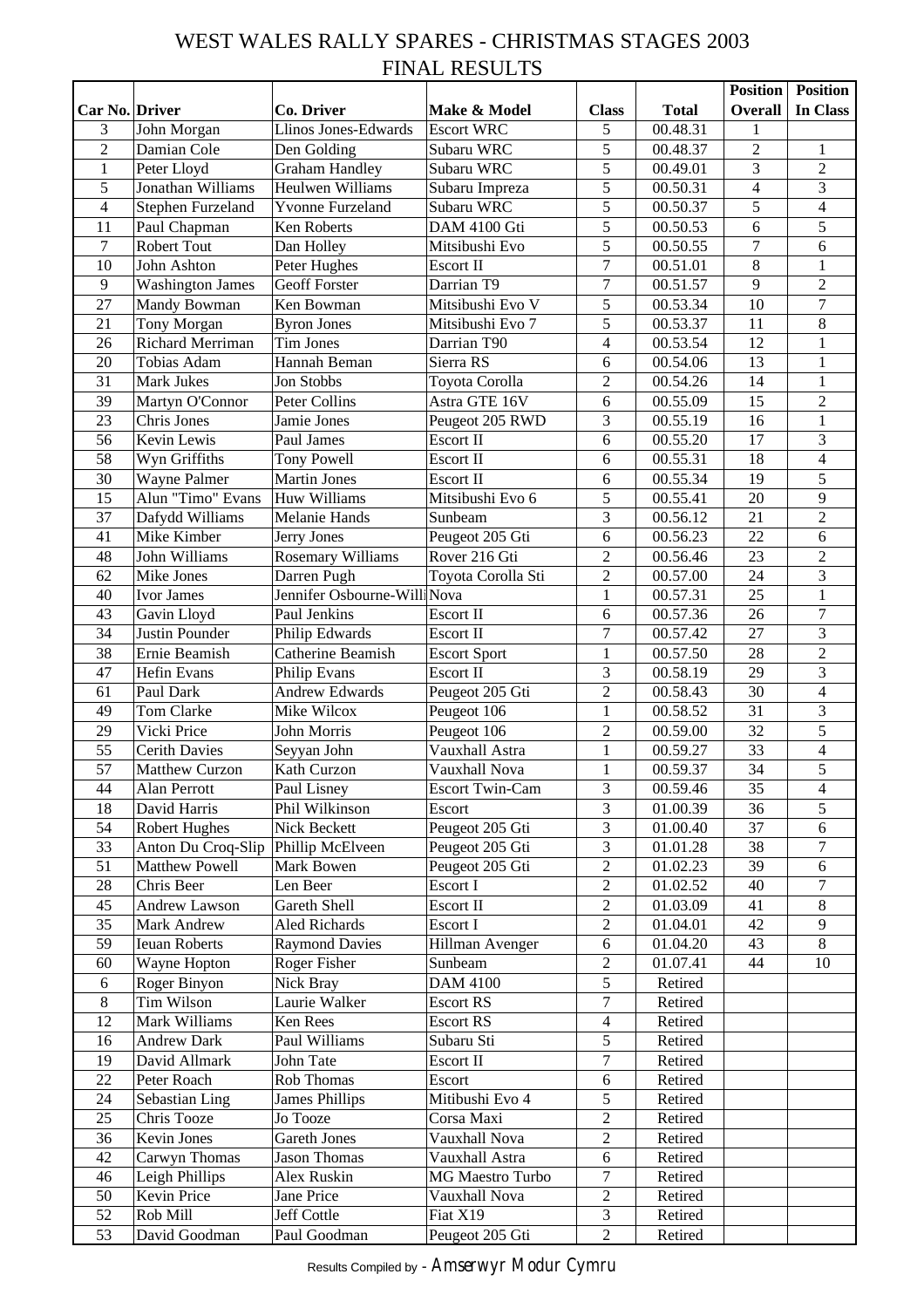# WEST WALES RALLY SPARES - CHRISTMAS STAGES 2003 FINAL RESULTS

|                          |                         |                              |                        |                  |              | <b>Position</b> | <b>Position</b>          |
|--------------------------|-------------------------|------------------------------|------------------------|------------------|--------------|-----------------|--------------------------|
| Car No. Driver           |                         | Co. Driver                   | Make & Model           | <b>Class</b>     | <b>Total</b> | <b>Overall</b>  | In Class                 |
| 3                        | John Morgan             | Llinos Jones-Edwards         | <b>Escort WRC</b>      | 5                | 00.48.31     | 1               |                          |
| $\overline{2}$           | Damian Cole             | Den Golding                  | Subaru WRC             | 5                | 00.48.37     | $\overline{2}$  | 1                        |
| 1                        | Peter Lloyd             | <b>Graham Handley</b>        | Subaru WRC             | 5                | 00.49.01     | 3               | $\overline{2}$           |
| 5                        | Jonathan Williams       | Heulwen Williams             | Subaru Impreza         | 5                | 00.50.31     | $\overline{4}$  | 3                        |
| $\overline{\mathcal{L}}$ | Stephen Furzeland       | <b>Yvonne Furzeland</b>      | Subaru WRC             | 5                | 00.50.37     | 5               | $\overline{4}$           |
| 11                       | Paul Chapman            | Ken Roberts                  | DAM 4100 Gti           | 5                | 00.50.53     | 6               | $\overline{5}$           |
| 7                        | Robert Tout             | Dan Holley                   | Mitsibushi Evo         | 5                | 00.50.55     | $\overline{7}$  | 6                        |
| 10                       | John Ashton             | Peter Hughes                 | Escort II              | $\tau$           | 00.51.01     | $\overline{8}$  | $\mathbf{1}$             |
| 9                        | <b>Washington James</b> | <b>Geoff Forster</b>         | Darrian T9             | $\overline{7}$   | 00.51.57     | 9               | $\overline{2}$           |
| 27                       | Mandy Bowman            | Ken Bowman                   | Mitsibushi Evo V       | 5                | 00.53.34     | 10              | $\boldsymbol{7}$         |
| 21                       | Tony Morgan             | <b>Byron Jones</b>           | Mitsibushi Evo 7       | 5                | 00.53.37     | 11              | $\overline{8}$           |
| 26                       | Richard Merriman        | Tim Jones                    | Darrian T90            | $\overline{4}$   | 00.53.54     | 12              | $\mathbf{1}$             |
| 20                       | Tobias Adam             | Hannah Beman                 | Sierra RS              | 6                | 00.54.06     | 13              | $\mathbf{1}$             |
| 31                       | Mark Jukes              | Jon Stobbs                   | Toyota Corolla         | $\overline{2}$   | 00.54.26     | 14              | $\mathbf{1}$             |
| 39                       | Martyn O'Connor         | Peter Collins                | Astra GTE 16V          | 6                | 00.55.09     | 15              | $\overline{2}$           |
| 23                       | Chris Jones             | Jamie Jones                  | Peugeot 205 RWD        | 3                | 00.55.19     | 16              | $\mathbf{1}$             |
| 56                       | Kevin Lewis             | Paul James                   | Escort II              | 6                | 00.55.20     | 17              | 3                        |
| 58                       | Wyn Griffiths           | <b>Tony Powell</b>           | Escort II              | 6                | 00.55.31     | 18              | $\overline{4}$           |
| 30                       | Wayne Palmer            | <b>Martin Jones</b>          | Escort II              | 6                | 00.55.34     | 19              | $\overline{5}$           |
| 15                       | Alun "Timo" Evans       | Huw Williams                 | Mitsibushi Evo 6       | 5                | 00.55.41     | 20              | $\overline{9}$           |
| 37                       | Dafydd Williams         | Melanie Hands                | Sunbeam                | 3                | 00.56.12     | 21              | $\overline{2}$           |
| 41                       | Mike Kimber             | Jerry Jones                  | Peugeot 205 Gti        | 6                | 00.56.23     | 22              | 6                        |
| 48                       | John Williams           | <b>Rosemary Williams</b>     | Rover 216 Gti          | $\overline{2}$   | 00.56.46     | 23              | $\overline{2}$           |
| 62                       | Mike Jones              | Darren Pugh                  | Toyota Corolla Sti     | $\mathbf{2}$     | 00.57.00     | 24              | $\overline{3}$           |
| 40                       | Ivor James              | Jennifer Osbourne-Willi Nova |                        | 1                | 00.57.31     | 25              | $\mathbf{1}$             |
| 43                       | Gavin Lloyd             | Paul Jenkins                 | Escort II              | 6                | 00.57.36     | 26              | $\boldsymbol{7}$         |
| 34                       | Justin Pounder          | Philip Edwards               | Escort II              | $\overline{7}$   | 00.57.42     | 27              | $\overline{3}$           |
| 38                       | Ernie Beamish           | Catherine Beamish            | <b>Escort Sport</b>    | $\mathbf{1}$     | 00.57.50     | 28              | $\overline{2}$           |
| 47                       | Hefin Evans             | Philip Evans                 | Escort II              | 3                | 00.58.19     | 29              | $\overline{3}$           |
| 61                       | Paul Dark               | <b>Andrew Edwards</b>        | Peugeot 205 Gti        | $\overline{2}$   | 00.58.43     | 30              | $\overline{4}$           |
| 49                       | Tom Clarke              | Mike Wilcox                  | Peugeot 106            | $\mathbf{1}$     | 00.58.52     | 31              | $\overline{3}$           |
| 29                       | Vicki Price             | John Morris                  | Peugeot 106            | $\overline{2}$   | 00.59.00     | 32              | 5                        |
| 55                       | <b>Cerith Davies</b>    | Seyyan John                  | Vauxhall Astra         | $\mathbf{1}$     | 00.59.27     | $\overline{33}$ | $\overline{4}$           |
| 57                       | <b>Matthew Curzon</b>   | Kath Curzon                  | Vauxhall Nova          | $\mathbf{1}$     | 00.59.37     | $\overline{34}$ | 5                        |
| 44                       | Alan Perrott            | Paul Lisney                  | <b>Escort Twin-Cam</b> | 3                | 00.59.46     | 35              | $\overline{\mathcal{L}}$ |
| 18                       | David Harris            | Phil Wilkinson               | Escort                 | 3                | 01.00.39     | 36              | 5                        |
| 54                       | Robert Hughes           | Nick Beckett                 | Peugeot 205 Gti        | $\overline{3}$   | 01.00.40     | 37              | 6                        |
| 33                       | Anton Du Croq-Slip      | Phillip McElveen             | Peugeot 205 Gti        | 3                | 01.01.28     | 38              | 7                        |
| 51                       | Matthew Powell          | Mark Bowen                   | Peugeot 205 Gti        | $\overline{2}$   | 01.02.23     | 39              | 6                        |
| 28                       | Chris Beer              | Len Beer                     | Escort I               | $\overline{2}$   | 01.02.52     | 40              | $\overline{7}$           |
|                          | Andrew Lawson           | Gareth Shell                 | Escort II              | $\overline{2}$   |              | 41              | $8\,$                    |
| 45                       |                         |                              |                        | $\overline{2}$   | 01.03.09     |                 | 9                        |
| 35                       | Mark Andrew             | <b>Aled Richards</b>         | Escort I               |                  | 01.04.01     | 42              |                          |
| 59                       | Ieuan Roberts           | <b>Raymond Davies</b>        | Hillman Avenger        | 6                | 01.04.20     | 43              | $8\,$                    |
| 60                       | Wayne Hopton            | Roger Fisher                 | Sunbeam                | $\overline{2}$   | 01.07.41     | 44              | 10                       |
| 6                        | Roger Binyon            | Nick Bray                    | <b>DAM 4100</b>        | 5                | Retired      |                 |                          |
| $\,8\,$                  | Tim Wilson              | Laurie Walker                | <b>Escort RS</b>       | $\overline{7}$   | Retired      |                 |                          |
| 12                       | Mark Williams           | Ken Rees                     | <b>Escort RS</b>       | $\overline{4}$   | Retired      |                 |                          |
| 16                       | <b>Andrew Dark</b>      | Paul Williams                | Subaru Sti             | 5                | Retired      |                 |                          |
| 19                       | David Allmark           | John Tate                    | Escort II              | 7                | Retired      |                 |                          |
| 22                       | Peter Roach             | Rob Thomas                   | Escort                 | $\boldsymbol{6}$ | Retired      |                 |                          |
| 24                       | Sebastian Ling          | <b>James Phillips</b>        | Mitibushi Evo 4        | 5                | Retired      |                 |                          |
| 25                       | Chris Tooze             | Jo Tooze                     | Corsa Maxi             | $\sqrt{2}$       | Retired      |                 |                          |
| 36                       | Kevin Jones             | <b>Gareth Jones</b>          | Vauxhall Nova          | $\sqrt{2}$       | Retired      |                 |                          |
| 42                       | Carwyn Thomas           | <b>Jason Thomas</b>          | Vauxhall Astra         | 6                | Retired      |                 |                          |
| 46                       | Leigh Phillips          | Alex Ruskin                  | MG Maestro Turbo       | $\tau$           | Retired      |                 |                          |
| 50                       | Kevin Price             | Jane Price                   | Vauxhall Nova          | $\overline{2}$   | Retired      |                 |                          |
| 52                       | Rob Mill                | Jeff Cottle                  | Fiat X19               | 3                | Retired      |                 |                          |
| 53                       | David Goodman           | Paul Goodman                 | Peugeot 205 Gti        | $\overline{2}$   | Retired      |                 |                          |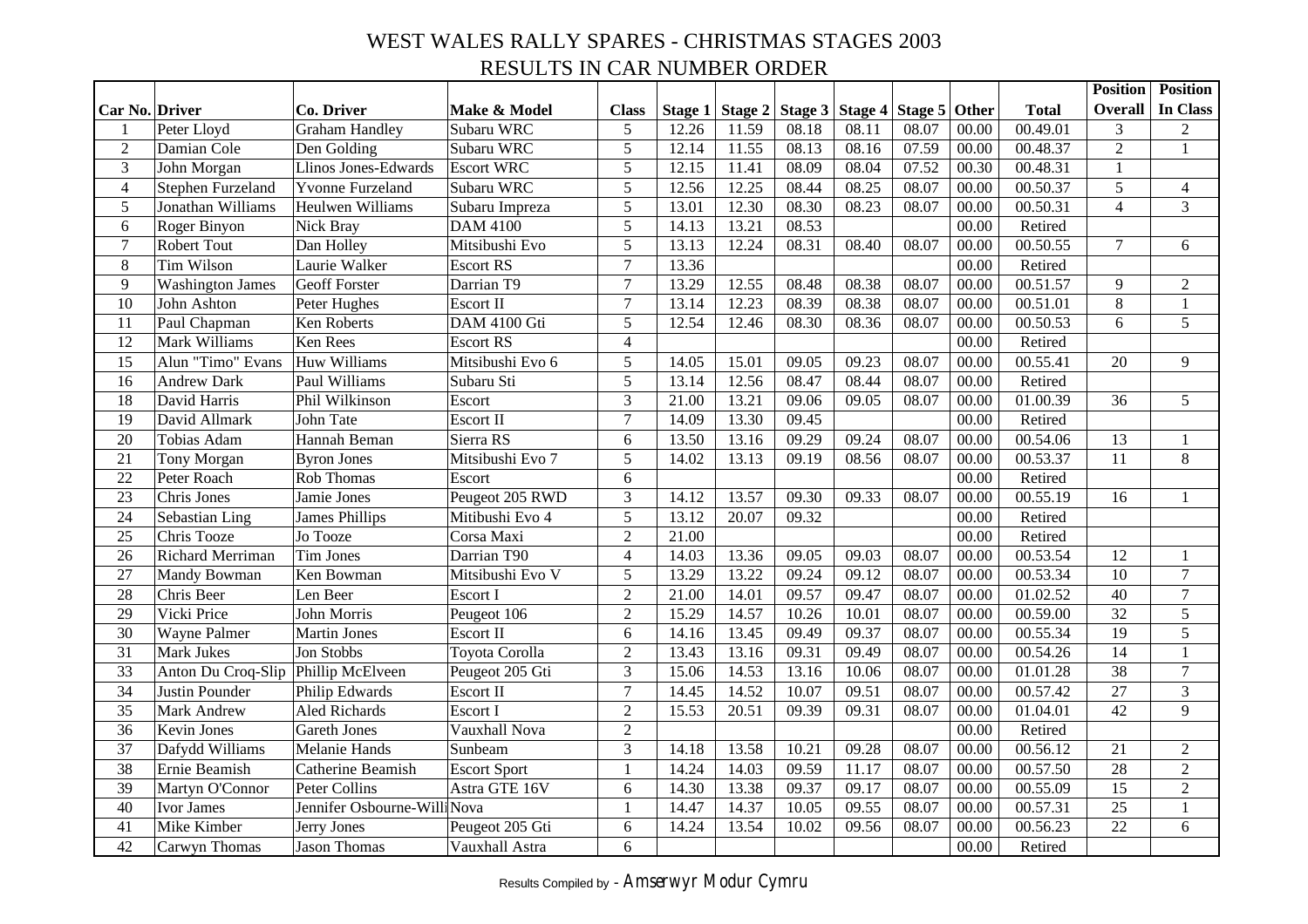# WEST WALES RALLY SPARES - CHRISTMAS STAGES 2003 RESULTS IN CAR NUMBER ORDER

|                 |                                     |                              |                     |                |         |         |         |                           |       |       |              | <b>Position</b> | <b>Position</b> |
|-----------------|-------------------------------------|------------------------------|---------------------|----------------|---------|---------|---------|---------------------------|-------|-------|--------------|-----------------|-----------------|
| Car No. Driver  |                                     | Co. Driver                   | Make & Model        | <b>Class</b>   | Stage 1 | Stage 2 | Stage 3 | Stage 4   Stage 5   Other |       |       | <b>Total</b> | <b>Overall</b>  | In Class        |
| 1               | Peter Lloyd                         | <b>Graham Handley</b>        | Subaru WRC          | 5              | 12.26   | 11.59   | 08.18   | 08.11                     | 08.07 | 00.00 | 00.49.01     | 3               | $\overline{c}$  |
| $\overline{2}$  | Damian Cole                         | Den Golding                  | Subaru WRC          | 5              | 12.14   | 11.55   | 08.13   | 08.16                     | 07.59 | 00.00 | 00.48.37     | $\overline{2}$  | $\mathbf{1}$    |
| 3               | John Morgan                         | Llinos Jones-Edwards         | <b>Escort WRC</b>   | 5              | 12.15   | 11.41   | 08.09   | 08.04                     | 07.52 | 00.30 | 00.48.31     | $\mathbf{1}$    |                 |
| $\overline{4}$  | Stephen Furzeland                   | <b>Yvonne Furzeland</b>      | Subaru WRC          | 5              | 12.56   | 12.25   | 08.44   | 08.25                     | 08.07 | 00.00 | 00.50.37     | 5               | $\overline{4}$  |
| 5               | Jonathan Williams                   | Heulwen Williams             | Subaru Impreza      | 5              | 13.01   | 12.30   | 08.30   | 08.23                     | 08.07 | 00.00 | 00.50.31     | $\overline{4}$  | $\overline{3}$  |
| $6\,$           | Roger Binyon                        | Nick Bray                    | <b>DAM 4100</b>     | 5              | 14.13   | 13.21   | 08.53   |                           |       | 00.00 | Retired      |                 |                 |
| $\tau$          | Robert Tout                         | Dan Holley                   | Mitsibushi Evo      | 5              | 13.13   | 12.24   | 08.31   | 08.40                     | 08.07 | 00.00 | 00.50.55     | $\tau$          | 6               |
| 8               | <b>Tim Wilson</b>                   | Laurie Walker                | <b>Escort RS</b>    | $\overline{7}$ | 13.36   |         |         |                           |       | 00.00 | Retired      |                 |                 |
| $\overline{9}$  | <b>Washington James</b>             | <b>Geoff Forster</b>         | Darrian T9          | $\overline{7}$ | 13.29   | 12.55   | 08.48   | 08.38                     | 08.07 | 00.00 | 00.51.57     | 9               | $\overline{2}$  |
| 10              | John Ashton                         | Peter Hughes                 | Escort II           | $\overline{7}$ | 13.14   | 12.23   | 08.39   | 08.38                     | 08.07 | 00.00 | 00.51.01     | $8\,$           | $\mathbf{1}$    |
| 11              | Paul Chapman                        | Ken Roberts                  | DAM 4100 Gti        | 5              | 12.54   | 12.46   | 08.30   | 08.36                     | 08.07 | 00.00 | 00.50.53     | 6               | 5               |
| $\overline{12}$ | Mark Williams                       | Ken Rees                     | <b>Escort RS</b>    | $\overline{4}$ |         |         |         |                           |       | 00.00 | Retired      |                 |                 |
| 15              | Alun "Timo" Evans                   | Huw Williams                 | Mitsibushi Evo 6    | 5              | 14.05   | 15.01   | 09.05   | 09.23                     | 08.07 | 00.00 | 00.55.41     | 20              | 9               |
| 16              | <b>Andrew Dark</b>                  | Paul Williams                | Subaru Sti          | 5              | 13.14   | 12.56   | 08.47   | 08.44                     | 08.07 | 00.00 | Retired      |                 |                 |
| 18              | David Harris                        | Phil Wilkinson               | Escort              | 3              | 21.00   | 13.21   | 09.06   | 09.05                     | 08.07 | 00.00 | 01.00.39     | 36              | 5               |
| 19              | David Allmark                       | John Tate                    | Escort II           | $\overline{7}$ | 14.09   | 13.30   | 09.45   |                           |       | 00.00 | Retired      |                 |                 |
| 20              | Tobias Adam                         | Hannah Beman                 | Sierra RS           | 6              | 13.50   | 13.16   | 09.29   | 09.24                     | 08.07 | 00.00 | 00.54.06     | 13              | $\mathbf{1}$    |
| 21              | Tony Morgan                         | <b>Byron Jones</b>           | Mitsibushi Evo 7    | 5              | 14.02   | 13.13   | 09.19   | 08.56                     | 08.07 | 00.00 | 00.53.37     | 11              | 8               |
| $\overline{22}$ | Peter Roach                         | Rob Thomas                   | Escort              | 6              |         |         |         |                           |       | 00.00 | Retired      |                 |                 |
| $\overline{23}$ | Chris Jones                         | Jamie Jones                  | Peugeot 205 RWD     | 3              | 14.12   | 13.57   | 09.30   | 09.33                     | 08.07 | 00.00 | 00.55.19     | 16              | $\mathbf{1}$    |
| 24              | Sebastian Ling                      | <b>James Phillips</b>        | Mitibushi Evo 4     | 5              | 13.12   | 20.07   | 09.32   |                           |       | 00.00 | Retired      |                 |                 |
| 25              | Chris Tooze                         | Jo Tooze                     | Corsa Maxi          | $\overline{2}$ | 21.00   |         |         |                           |       | 00.00 | Retired      |                 |                 |
| 26              | Richard Merriman                    | <b>Tim Jones</b>             | Darrian T90         | $\overline{4}$ | 14.03   | 13.36   | 09.05   | 09.03                     | 08.07 | 00.00 | 00.53.54     | 12              | $\mathbf{1}$    |
| 27              | Mandy Bowman                        | Ken Bowman                   | Mitsibushi Evo V    | 5              | 13.29   | 13.22   | 09.24   | 09.12                     | 08.07 | 00.00 | 00.53.34     | 10              | $\tau$          |
| 28              | Chris Beer                          | Len Beer                     | Escort I            | $\overline{2}$ | 21.00   | 14.01   | 09.57   | 09.47                     | 08.07 | 00.00 | 01.02.52     | 40              | $\tau$          |
| $\overline{29}$ | Vicki Price                         | John Morris                  | Peugeot 106         | $\overline{2}$ | 15.29   | 14.57   | 10.26   | 10.01                     | 08.07 | 00.00 | 00.59.00     | 32              | $\overline{5}$  |
| 30              | Wayne Palmer                        | <b>Martin Jones</b>          | Escort II           | 6              | 14.16   | 13.45   | 09.49   | 09.37                     | 08.07 | 00.00 | 00.55.34     | 19              | 5               |
| 31              | Mark Jukes                          | Jon Stobbs                   | Toyota Corolla      | $\overline{2}$ | 13.43   | 13.16   | 09.31   | 09.49                     | 08.07 | 00.00 | 00.54.26     | 14              | $\mathbf 1$     |
| 33              | Anton Du Croq-Slip Phillip McElveen |                              | Peugeot 205 Gti     | 3              | 15.06   | 14.53   | 13.16   | 10.06                     | 08.07 | 00.00 | 01.01.28     | 38              | $\tau$          |
| 34              | Justin Pounder                      | Philip Edwards               | Escort II           | $\overline{7}$ | 14.45   | 14.52   | 10.07   | 09.51                     | 08.07 | 00.00 | 00.57.42     | 27              | 3               |
| 35              | Mark Andrew                         | Aled Richards                | Escort I            | $\overline{2}$ | 15.53   | 20.51   | 09.39   | 09.31                     | 08.07 | 00.00 | 01.04.01     | 42              | 9               |
| 36              | <b>Kevin Jones</b>                  | <b>Gareth Jones</b>          | Vauxhall Nova       | $\overline{2}$ |         |         |         |                           |       | 00.00 | Retired      |                 |                 |
| $\overline{37}$ | Dafydd Williams                     | Melanie Hands                | Sunbeam             | $\overline{3}$ | 14.18   | 13.58   | 10.21   | 09.28                     | 08.07 | 00.00 | 00.56.12     | 21              | $\overline{2}$  |
| 38              | Ernie Beamish                       | Catherine Beamish            | <b>Escort Sport</b> | $\mathbf{1}$   | 14.24   | 14.03   | 09.59   | 11.17                     | 08.07 | 00.00 | 00.57.50     | 28              | $\overline{2}$  |
| 39              | Martyn O'Connor                     | Peter Collins                | Astra GTE 16V       | 6              | 14.30   | 13.38   | 09.37   | 09.17                     | 08.07 | 00.00 | 00.55.09     | 15              | $\overline{2}$  |
| 40              | Ivor James                          | Jennifer Osbourne-Willi Nova |                     | $\mathbf{1}$   | 14.47   | 14.37   | 10.05   | 09.55                     | 08.07 | 00.00 | 00.57.31     | 25              | $\mathbf{1}$    |
| 41              | Mike Kimber                         | Jerry Jones                  | Peugeot 205 Gti     | 6              | 14.24   | 13.54   | 10.02   | 09.56                     | 08.07 | 00.00 | 00.56.23     | 22              | 6               |
| 42              | Carwyn Thomas                       | <b>Jason Thomas</b>          | Vauxhall Astra      | 6              |         |         |         |                           |       | 00.00 | Retired      |                 |                 |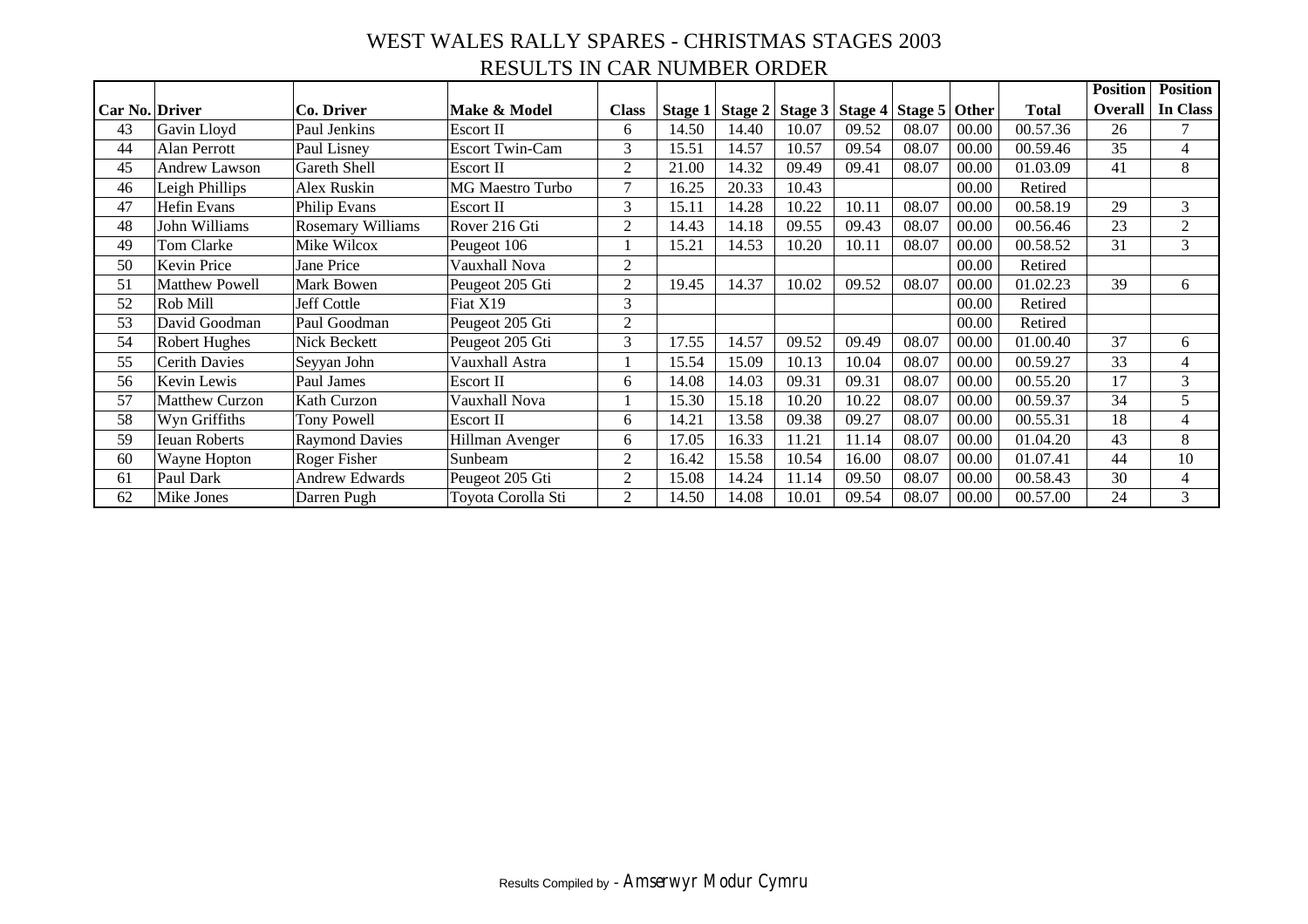#### WEST WALES RALLY SPARES - CHRISTMAS STAGES 2003 RESULTS IN CAR NUMBER ORDER

|                       |                       |                          |                         |                |       |       |                                                         |       |       |       |              | <b>Position</b> | <b>Position</b> |
|-----------------------|-----------------------|--------------------------|-------------------------|----------------|-------|-------|---------------------------------------------------------|-------|-------|-------|--------------|-----------------|-----------------|
| <b>Car No. Driver</b> |                       | Co. Driver               | Make & Model            | <b>Class</b>   |       |       | Stage 1   Stage 2   Stage 3   Stage 4   Stage 5   Other |       |       |       | <b>Total</b> | Overall         | In Class        |
| 43                    | Gavin Lloyd           | Paul Jenkins             | Escort II               | 6              | 14.50 | 14.40 | 10.07                                                   | 09.52 | 08.07 | 00.00 | 00.57.36     | 26              | $\mathcal{I}$   |
| 44                    | Alan Perrott          | Paul Lisney              | <b>Escort Twin-Cam</b>  | 3              | 15.51 | 14.57 | 10.57                                                   | 09.54 | 08.07 | 00.00 | 00.59.46     | 35              | $\overline{4}$  |
| 45                    | <b>Andrew Lawson</b>  | Gareth Shell             | Escort II               | $\overline{2}$ | 21.00 | 14.32 | 09.49                                                   | 09.41 | 08.07 | 00.00 | 01.03.09     | 41              | 8               |
| 46                    | Leigh Phillips        | Alex Ruskin              | <b>MG Maestro Turbo</b> | 7              | 16.25 | 20.33 | 10.43                                                   |       |       | 00.00 | Retired      |                 |                 |
| 47                    | Hefin Evans           | Philip Evans             | Escort II               | 3              | 15.11 | 14.28 | 10.22                                                   | 10.11 | 08.07 | 00.00 | 00.58.19     | 29              | 3               |
| 48                    | John Williams         | <b>Rosemary Williams</b> | Rover 216 Gti           | $\overline{2}$ | 14.43 | 14.18 | 09.55                                                   | 09.43 | 08.07 | 00.00 | 00.56.46     | 23              | $\overline{2}$  |
| 49                    | Tom Clarke            | Mike Wilcox              | Peugeot 106             |                | 15.21 | 14.53 | 10.20                                                   | 10.11 | 08.07 | 00.00 | 00.58.52     | 31              | 3               |
| 50                    | Kevin Price           | Jane Price               | Vauxhall Nova           | 2              |       |       |                                                         |       |       | 00.00 | Retired      |                 |                 |
| 51                    | <b>Matthew Powell</b> | Mark Bowen               | Peugeot 205 Gti         | $\overline{2}$ | 19.45 | 14.37 | 10.02                                                   | 09.52 | 08.07 | 00.00 | 01.02.23     | 39              | 6               |
| 52                    | Rob Mill              | <b>Jeff Cottle</b>       | Fiat X19                | 3              |       |       |                                                         |       |       | 00.00 | Retired      |                 |                 |
| 53                    | David Goodman         | Paul Goodman             | Peugeot 205 Gti         | $\overline{2}$ |       |       |                                                         |       |       | 00.00 | Retired      |                 |                 |
| 54                    | Robert Hughes         | Nick Beckett             | Peugeot 205 Gti         | 3              | 17.55 | 14.57 | 09.52                                                   | 09.49 | 08.07 | 00.00 | 01.00.40     | 37              | 6               |
| 55                    | <b>Cerith Davies</b>  | Seyyan John              | Vauxhall Astra          |                | 15.54 | 15.09 | 10.13                                                   | 10.04 | 08.07 | 00.00 | 00.59.27     | 33              | $\overline{4}$  |
| 56                    | Kevin Lewis           | Paul James               | Escort II               | 6              | 14.08 | 14.03 | 09.31                                                   | 09.31 | 08.07 | 00.00 | 00.55.20     | 17              | 3               |
| 57                    | <b>Matthew Curzon</b> | Kath Curzon              | Vauxhall Nova           |                | 15.30 | 15.18 | 10.20                                                   | 10.22 | 08.07 | 00.00 | 00.59.37     | 34              | 5               |
| 58                    | Wyn Griffiths         | <b>Tony Powell</b>       | Escort II               | 6              | 14.21 | 13.58 | 09.38                                                   | 09.27 | 08.07 | 00.00 | 00.55.31     | 18              | $\overline{4}$  |
| 59                    | Ieuan Roberts         | <b>Raymond Davies</b>    | Hillman Avenger         | 6              | 17.05 | 16.33 | 11.21                                                   | 11.14 | 08.07 | 00.00 | 01.04.20     | 43              | 8               |
| 60                    | Wayne Hopton          | Roger Fisher             | Sunbeam                 | $\overline{2}$ | 16.42 | 15.58 | 10.54                                                   | 16.00 | 08.07 | 00.00 | 01.07.41     | 44              | 10              |
| 61                    | Paul Dark             | <b>Andrew Edwards</b>    | Peugeot 205 Gti         | $\overline{2}$ | 15.08 | 14.24 | 11.14                                                   | 09.50 | 08.07 | 00.00 | 00.58.43     | 30              | $\overline{4}$  |
| 62                    | Mike Jones            | Darren Pugh              | Toyota Corolla Sti      | 2              | 14.50 | 14.08 | 10.01                                                   | 09.54 | 08.07 | 00.00 | 00.57.00     | 24              | 3               |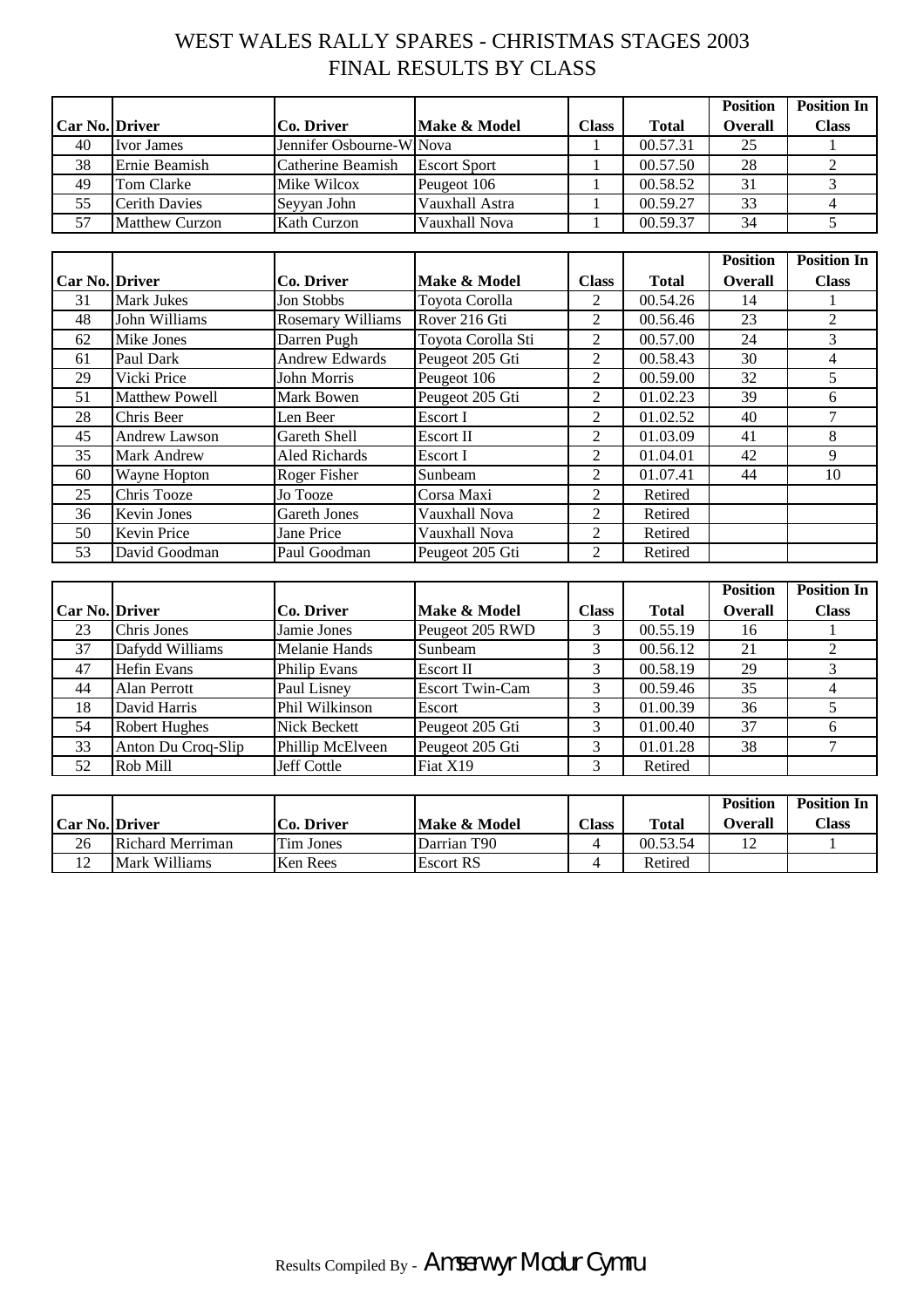# WEST WALES RALLY SPARES - CHRISTMAS STAGES 2003 FINAL RESULTS BY CLASS

|                       |                       |                          |                     |              |              | <b>Position</b> | <b>Position In</b> |
|-----------------------|-----------------------|--------------------------|---------------------|--------------|--------------|-----------------|--------------------|
| <b>Car No. Driver</b> |                       | Co. Driver               | Make & Model        | <b>Class</b> | <b>Total</b> | <b>Overall</b>  | <b>Class</b>       |
| 40                    | <b>Ivor James</b>     | Jennifer Osbourne-WiNova |                     |              | 00.57.31     | 25              |                    |
| 38                    | Ernie Beamish         | Catherine Beamish        | <b>Escort Sport</b> |              | 00.57.50     | 28              |                    |
| 49                    | Tom Clarke            | Mike Wilcox              | Peugeot 106         |              | 00.58.52     | 31              |                    |
| 55                    | <b>Cerith Davies</b>  | Seyyan John              | Vauxhall Astra      |              | 00.59.27     | 33              |                    |
| 57                    | <b>Matthew Curzon</b> | Kath Curzon              | Vauxhall Nova       |              | 00.59.37     | 34              |                    |

|                       |                       |                          |                    |                |              | <b>Position</b> | <b>Position In</b> |
|-----------------------|-----------------------|--------------------------|--------------------|----------------|--------------|-----------------|--------------------|
| <b>Car No. Driver</b> |                       | <b>Co. Driver</b>        | Make & Model       | <b>Class</b>   | <b>Total</b> | <b>Overall</b>  | <b>Class</b>       |
| 31                    | <b>Mark Jukes</b>     | Jon Stobbs               | Toyota Corolla     | 2              | 00.54.26     | 14              |                    |
| 48                    | John Williams         | <b>Rosemary Williams</b> | Rover 216 Gti      | 2              | 00.56.46     | 23              | $\overline{2}$     |
| 62                    | Mike Jones            | Darren Pugh              | Toyota Corolla Sti | 2              | 00.57.00     | 24              | 3                  |
| 61                    | Paul Dark             | <b>Andrew Edwards</b>    | Peugeot 205 Gti    | 2              | 00.58.43     | 30              | 4                  |
| 29                    | Vicki Price           | John Morris              | Peugeot 106        | $\overline{c}$ | 00.59.00     | 32              | 5                  |
| 51                    | <b>Matthew Powell</b> | Mark Bowen               | Peugeot 205 Gti    | 2              | 01.02.23     | 39              | 6                  |
| 28                    | Chris Beer            | Len Beer                 | Escort I           | 2              | 01.02.52     | 40              |                    |
| 45                    | <b>Andrew Lawson</b>  | Gareth Shell             | Escort II          | 2              | 01.03.09     | 41              | 8                  |
| 35                    | <b>Mark Andrew</b>    | Aled Richards            | Escort I           | 2              | 01.04.01     | 42              | 9                  |
| 60                    | Wayne Hopton          | <b>Roger Fisher</b>      | Sunbeam            | 2              | 01.07.41     | 44              | 10                 |
| 25                    | Chris Tooze           | Jo Tooze                 | Corsa Maxi         | 2              | Retired      |                 |                    |
| 36                    | <b>Kevin Jones</b>    | <b>Gareth Jones</b>      | Vauxhall Nova      | 2              | Retired      |                 |                    |
| 50                    | <b>Kevin Price</b>    | Jane Price               | Vauxhall Nova      | 2              | Retired      |                 |                    |
| 53                    | David Goodman         | Paul Goodman             | Peugeot 205 Gti    | $\mathfrak{D}$ | Retired      |                 |                    |

|                       |                      |                      |                        |              |              | <b>Position</b> | <b>Position In</b> |
|-----------------------|----------------------|----------------------|------------------------|--------------|--------------|-----------------|--------------------|
| <b>Car No. Driver</b> |                      | Co. Driver           | Make & Model           | <b>Class</b> | <b>Total</b> | <b>Overall</b>  | <b>Class</b>       |
| 23                    | Chris Jones          | Jamie Jones          | Peugeot 205 RWD        |              | 00.55.19     | 16              |                    |
| 37                    | Dafydd Williams      | <b>Melanie Hands</b> | Sunbeam                |              | 00.56.12     | 21              |                    |
| 47                    | <b>Hefin Evans</b>   | <b>Philip Evans</b>  | Escort II              | 3            | 00.58.19     | 29              |                    |
| 44                    | Alan Perrott         | Paul Lisney          | <b>Escort Twin-Cam</b> |              | 00.59.46     | 35              |                    |
| 18                    | David Harris         | Phil Wilkinson       | Escort                 |              | 01.00.39     | 36              |                    |
| 54                    | <b>Robert Hughes</b> | Nick Beckett         | Peugeot 205 Gti        |              | 01.00.40     | 37              | h                  |
| 33                    | Anton Du Croq-Slip   | Phillip McElveen     | Peugeot 205 Gti        | 3            | 01.01.28     | 38              |                    |
| 52                    | Rob Mill             | Jeff Cottle          | Fiat X19               |              | Retired      |                 |                    |

|                       |                         |                   |                         |              |              | <b>Position</b> | <b>Position In</b> |
|-----------------------|-------------------------|-------------------|-------------------------|--------------|--------------|-----------------|--------------------|
| <b>Car No. Driver</b> |                         | <b>Co. Driver</b> | Make & Model            | <b>Class</b> | <b>Total</b> | Overall         | <b>Class</b>       |
| 26                    | <b>Richard Merriman</b> | Tim Jones         | Darrian T <sub>90</sub> |              | 00.53.54     |                 |                    |
|                       | Mark Williams           | <b>Ken Rees</b>   | <b>Escort RS</b>        |              | Retired      |                 |                    |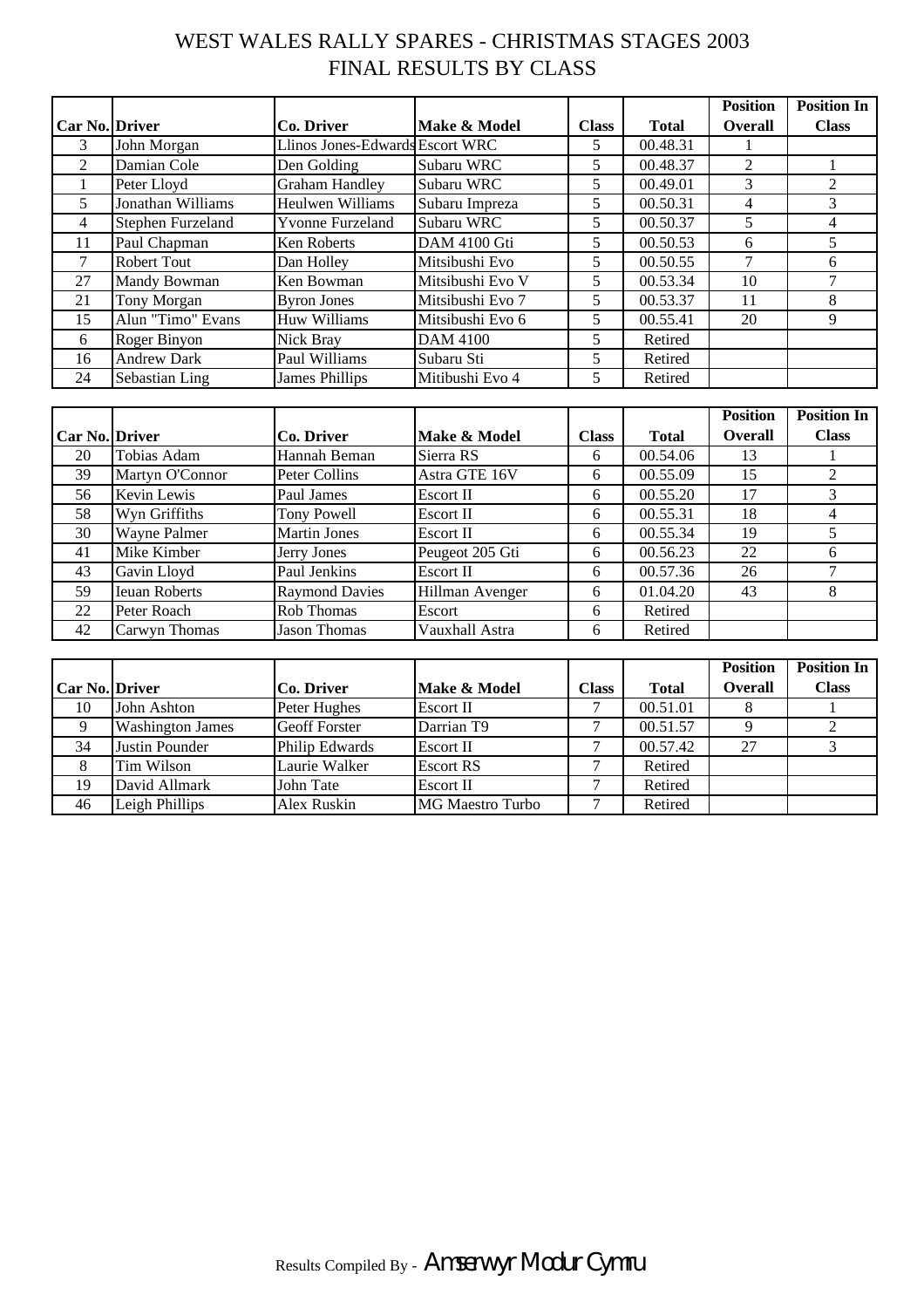# WEST WALES RALLY SPARES - CHRISTMAS STAGES 2003 FINAL RESULTS BY CLASS

|                |                    |                                 |                  |              |              | <b>Position</b> | <b>Position In</b> |
|----------------|--------------------|---------------------------------|------------------|--------------|--------------|-----------------|--------------------|
| Car No. Driver |                    | Co. Driver                      | Make & Model     | <b>Class</b> | <b>Total</b> | <b>Overall</b>  | <b>Class</b>       |
| 3              | John Morgan        | Llinos Jones-Edwards Escort WRC |                  | 5            | 00.48.31     |                 |                    |
| 2              | Damian Cole        | Den Golding                     | Subaru WRC       | 5            | 00.48.37     | 2               |                    |
|                | Peter Lloyd        | <b>Graham Handley</b>           | Subaru WRC       | 5            | 00.49.01     | 3               | $\mathfrak{D}$     |
| 5.             | Jonathan Williams  | <b>Heulwen Williams</b>         | Subaru Impreza   | 5            | 00.50.31     | 4               | 3                  |
| $\overline{4}$ | Stephen Furzeland  | <b>Yvonne Furzeland</b>         | Subaru WRC       | 5            | 00.50.37     | 5               | 4                  |
| 11             | Paul Chapman       | Ken Roberts                     | DAM 4100 Gti     | 5            | 00.50.53     | 6               | 5                  |
| 7              | <b>Robert Tout</b> | Dan Holley                      | Mitsibushi Evo   | 5            | 00.50.55     | 7               | 6                  |
| 27             | Mandy Bowman       | Ken Bowman                      | Mitsibushi Evo V | 5            | 00.53.34     | 10              |                    |
| 21             | Tony Morgan        | <b>Byron Jones</b>              | Mitsibushi Evo 7 | 5            | 00.53.37     | 11              | 8                  |
| 15             | Alun "Timo" Evans  | <b>Huw Williams</b>             | Mitsibushi Evo 6 | 5            | 00.55.41     | 20              | 9                  |
| 6              | Roger Binyon       | Nick Bray                       | DAM 4100         | 5            | Retired      |                 |                    |
| 16             | <b>Andrew Dark</b> | Paul Williams                   | Subaru Sti       | 5            | Retired      |                 |                    |
| 24             | Sebastian Ling     | <b>James Phillips</b>           | Mitibushi Evo 4  | 5            | Retired      |                 |                    |

|                       |                      |                       |                  |              |              | <b>Position</b> | <b>Position In</b> |
|-----------------------|----------------------|-----------------------|------------------|--------------|--------------|-----------------|--------------------|
| <b>Car No. Driver</b> |                      | Co. Driver            | Make & Model     | <b>Class</b> | <b>Total</b> | <b>Overall</b>  | <b>Class</b>       |
| 20                    | Tobias Adam          | Hannah Beman          | Sierra RS        | 6            | 00.54.06     | 13              |                    |
| 39                    | Martyn O'Connor      | Peter Collins         | Astra GTE 16V    | 6            | 00.55.09     | 15              |                    |
| 56                    | Kevin Lewis          | Paul James            | Escort II        | 6            | 00.55.20     | 17              |                    |
| 58                    | Wyn Griffiths        | <b>Tony Powell</b>    | Escort II        | 6            | 00.55.31     | 18              | 4                  |
| 30                    | Wayne Palmer         | <b>Martin Jones</b>   | <b>Escort II</b> | 6            | 00.55.34     | 19              |                    |
| 41                    | Mike Kimber          | Jerry Jones           | Peugeot 205 Gti  | 6            | 00.56.23     | 22              | <sub>6</sub>       |
| 43                    | Gavin Lloyd          | Paul Jenkins          | <b>Escort II</b> | 6            | 00.57.36     | 26              |                    |
| 59                    | <b>Ieuan Roberts</b> | <b>Raymond Davies</b> | Hillman Avenger  | 6            | 01.04.20     | 43              | 8                  |
| 22                    | Peter Roach          | Rob Thomas            | Escort           | 6            | Retired      |                 |                    |
| 42                    | Carwyn Thomas        | <b>Jason Thomas</b>   | Vauxhall Astra   | 6            | Retired      |                 |                    |

|                       |                         |                      |                         |              |              | <b>Position</b> | <b>Position In</b> |
|-----------------------|-------------------------|----------------------|-------------------------|--------------|--------------|-----------------|--------------------|
| <b>Car No. Driver</b> |                         | Co. Driver           | Make & Model            | <b>Class</b> | <b>Total</b> | <b>Overall</b>  | <b>Class</b>       |
| 10                    | John Ashton             | Peter Hughes         | <b>Escort II</b>        |              | 00.51.01     |                 |                    |
|                       | <b>Washington James</b> | <b>Geoff Forster</b> | Darrian T9              |              | 00.51.57     |                 |                    |
| 34                    | Justin Pounder          | Philip Edwards       | <b>Escort II</b>        |              | 00.57.42     | 27              |                    |
| 8                     | Tim Wilson              | Laurie Walker        | <b>Escort RS</b>        |              | Retired      |                 |                    |
| 19                    | David Allmark           | John Tate            | <b>Escort II</b>        |              | Retired      |                 |                    |
| 46                    | Leigh Phillips          | Alex Ruskin          | <b>MG Maestro Turbo</b> |              | Retired      |                 |                    |